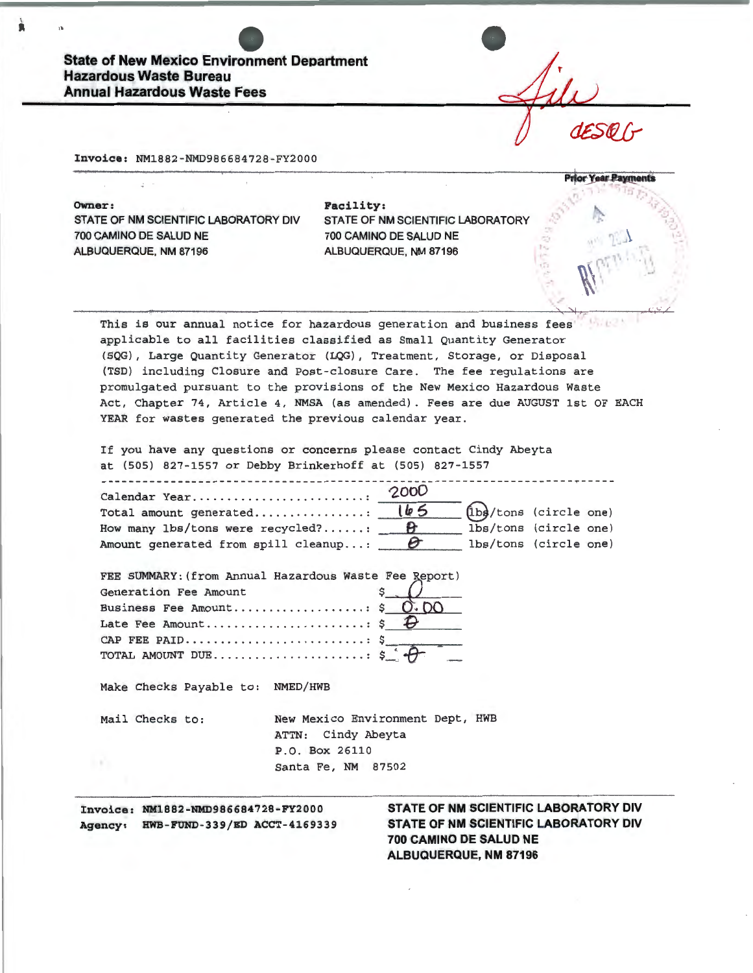State of New Mexico Environment Department Hazardous Waste Bureau Annual Hazardous Waste Fees

ear Payments

Invoice: NM1882-NMD986684728-FY2000

Owner: STATE OF NM SCIENTIFIC LABORATORY DIV 700 CAMINO DE SALUD NE ALBUQUERQUE, NM 87196

 $\lambda$ 

Facility: STATE OF NM SCIENTIFIC LABORATORY 700 CAMINO DE SALUD NE ALBUQUERQUE, NM 87196

This is our annual notice for hazardous generation and business fees  $15.121$ applicable to all facilities classified as Small Quantity Generator (SQG), Large Quantity Generator (LQG), Treatment, Storage, or Disposal (TSD) including Closure and Post-closure Care. The fee regulations are promulgated pursuant to the provisions of the New Mexico Hazardous Waste Act, Chapter 74, Article 4, NMSA (as amended). Fees are due AUGUST 1st OF EACH YEAR for wastes generated the previous calendar year.

If you have any questions or concerns please contact Cindy Abeyta at (SOS) 827-1SS7 or Debby Brinkerhoff at (SOS) 827-1SS7

| How many lbs/tons were recycled? $\theta$     |  | lbs/tons (circle one) |  |
|-----------------------------------------------|--|-----------------------|--|
| Amount generated from spill cleanup: $\theta$ |  | lbs/tons (circle one) |  |

| FEE SUMMARY: (from Annual Hazardous Waste Fee Report) |                              |
|-------------------------------------------------------|------------------------------|
| Generation Fee Amount                                 | $\mathfrak{s}$ $\mathcal{Q}$ |
| Business Fee Amount \$ $0.00$                         |                              |
| Late Fee Amount $\frac{1}{5}$                         |                              |
|                                                       |                              |
|                                                       |                              |

Make Checks Payable to: NMED/HWB

Mail Checks to: New Mexico Environment Dept, HWB ATTN: Cindy Abeyta P.O. Box 26110 Santa Fe, NM 87S02

Invoice: NM1882-NMD986684728-FY2000 Agency: HWB-FUND-339/ED ACCT-4169339 STATE OF NM SCIENTIFIC LABORATORY DIV STATE OF NM SCIENTIFIC LABORATORY DIV 700 CAMINO DE SALUD NE ALBUQUERQUE, NM 87196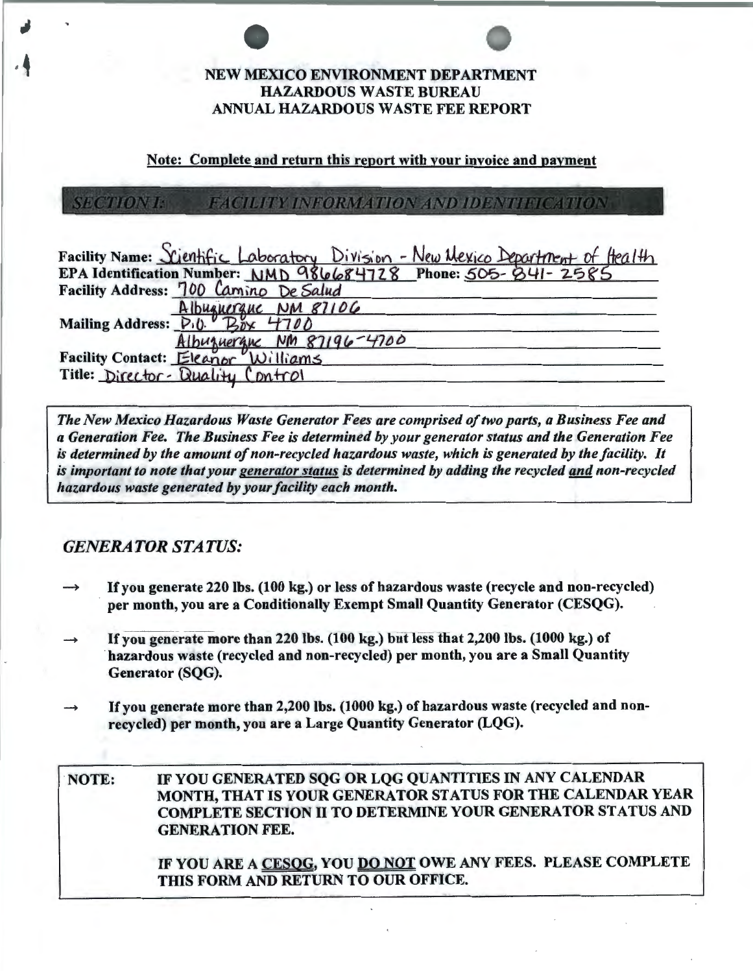# NEW MEXICO ENVIRONMENT DEPARTMENT HAZARDOUS WASTE BUREAU ANNUAL HAZARDOUS WASTE FEE REPORT

#### Note: Complete and return this report with your invoice and payment

**SECTION I: FACILITY INFORMATION AND IDENTIFICATION** 

| Facility Name: Scientific Laboratory Division - New Mexico Department of Health |
|---------------------------------------------------------------------------------|
| EPA Identification Number: NMD 986684728 Phone: 505-841-2585                    |
| Facility Address: 700 Camino De Salud                                           |
| Albuguerque NM 87106                                                            |
| Mailing Address: $P_1 \theta_1 \theta_2 \mu + 700$                              |
| Albuguergue MM 87196-4700                                                       |
| Facility Contact: Eleanor Williams                                              |
| Title: Director- Quality Control                                                |

*The New Mexico Hazardous Waste Generator Fees are comprised of two parts, a Business Fee and a Generation Fee. The Business Fee is determined by your generator status and the Generation Fee is determined by the amount of non-recycled hazardous waste, which is generated by the facility. It is important to note that your generator status is determined by adding the recycled and non-recycled hazardous waste generated by your facility each month.* 

## *GENERATOR STATUS:*

- If you generate 220 lbs. (100 kg.) or less of hazardous waste (recycle and non-recycled) per month, you are a Conditionally Exempt Small Quantity Generator (CESQG).
- If you generate more than 220 lbs.  $(100 \text{ kg.})$  but less that 2,200 lbs.  $(1000 \text{ kg.})$  of hazardous waste (recycled and non-recycled) per month, you are a Small Quantity Generator (SQG).
- If you generate more than 2,200 lbs. (1000 kg.) of hazardous waste (recycled and nonrecycled) per month, you are a Large Quantity Generator (LQG).

THIS FORM AND RETURN TO OUR OFFICE.

NOTE: IF YOU GENERA TED SQG OR LQG QUANTITIES IN ANY CALENDAR MONTH, THAT IS YOUR GENERA TOR STATUS FOR THE CALENDAR YEAR COMPLETE SECTION II TO DETERMINE YOUR GENERA TOR STATUS AND GENERATION FEE. IF YOU ARE A CESOG, YOU DO NOT OWE ANY FEES. PLEASE COMPLETE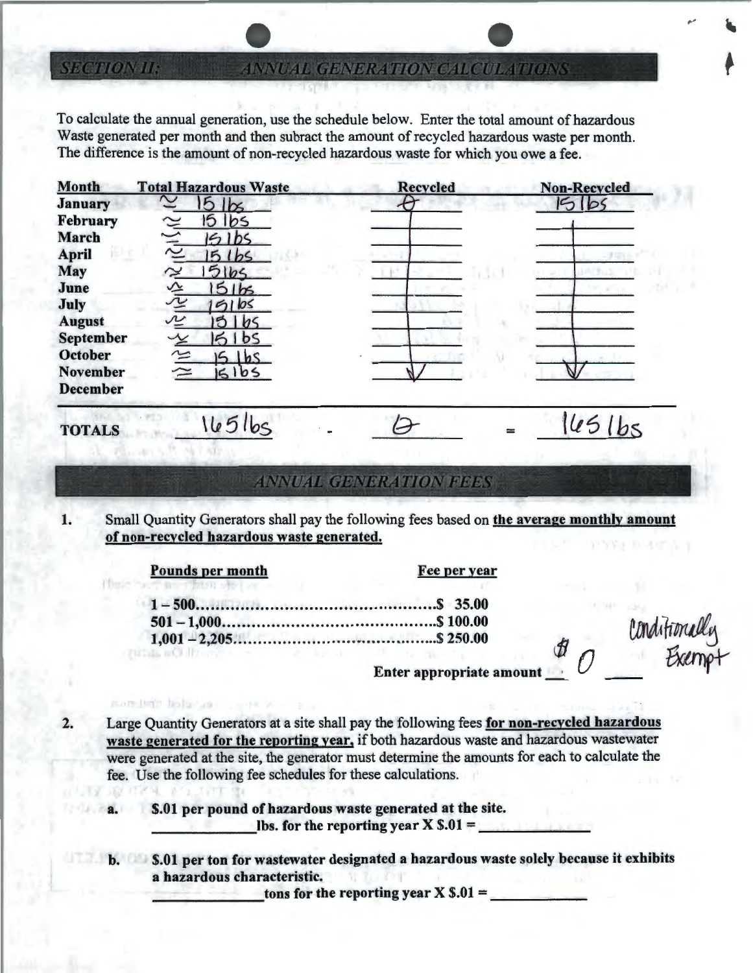### **ANNUAL GENERATION CALCULATIONS**

To calculate the annual generation, use the schedule below. Enter the total amount of hazardous Waste generated per month and then subract the amount of recycled hazardous waste per month. The difference is the amount of non-recycled hazardous waste for which you owe a fee.

| Month           | <b>Total Hazardous Waste</b>     | <b>Recycled</b> | <b>Non-Recycled</b> |
|-----------------|----------------------------------|-----------------|---------------------|
| January         |                                  |                 | 5165                |
| February        | 151b5                            |                 |                     |
| <b>March</b>    | $\frac{1}{2}$                    |                 |                     |
| <b>April</b>    | 151b5                            |                 |                     |
| <b>May</b>      | 51b5                             |                 |                     |
| June            | 5165                             |                 |                     |
| July            | $\tilde{\mathcal{L}}$<br>5165    |                 |                     |
| <b>August</b>   | $\boldsymbol{\mathcal{N}}$<br>b5 |                 |                     |
| September       | bs                               |                 |                     |
| <b>October</b>  | $\simeq$<br>1 <sub>b</sub>       |                 |                     |
| <b>November</b> | 51b5<br>$\simeq$                 |                 |                     |
| <b>December</b> |                                  |                 |                     |
| <b>TOTALS</b>   | $165$ lbs                        |                 | 1451b               |
|                 |                                  |                 |                     |

#### **ANNUAL GENERATION FEES**

Small Quantity Generators shall pay the following fees based on the average monthly amount 1. of non-recycled hazardous waste generated.

| <b>Pounds per month</b> |  |  |  |
|-------------------------|--|--|--|
|-------------------------|--|--|--|

mars links halls

47.74

**SECTION II:** 

Fee per year

Enter appropriate amount

Conditionally<br>Exempt

Large Quantity Generators at a site shall pay the following fees for non-recycled hazardous  $2.$ waste generated for the reporting year, if both hazardous waste and hazardous wastewater were generated at the site, the generator must determine the amounts for each to calculate the fee. Use the following fee schedules for these calculations.

> \$.01 per pound of hazardous waste generated at the site. lbs. for the reporting year  $X \$ s.01 =

b. S.01 per ton for wastewater designated a hazardous waste solely because it exhibits a hazardous characteristic.

tons for the reporting year X  $\$$ .01 =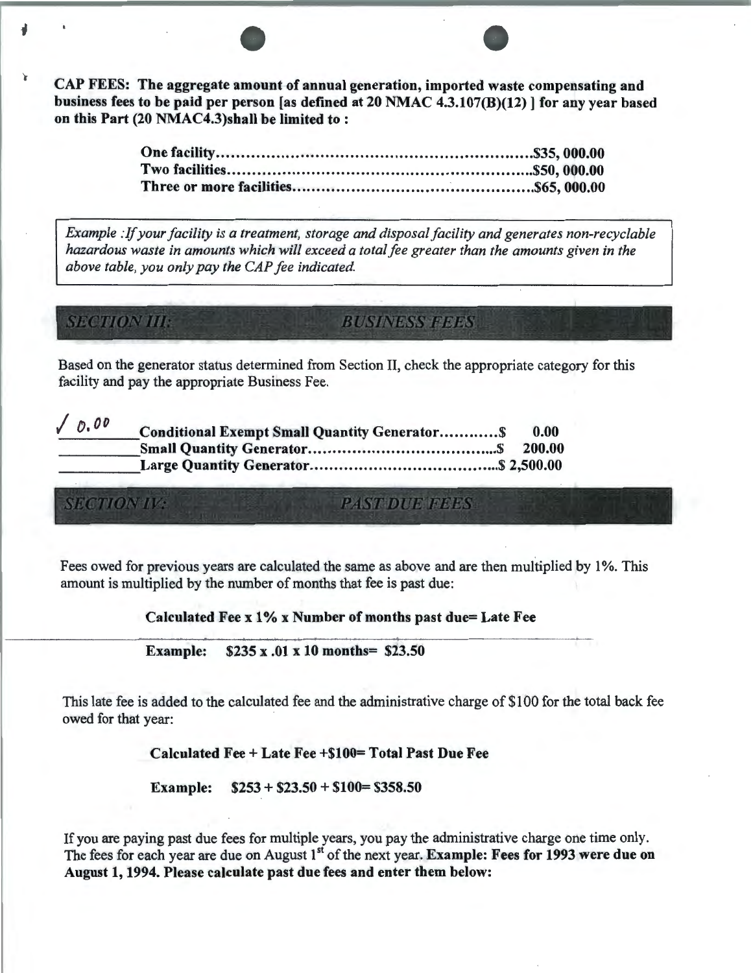CAP FEES: The aggregate amount of annual generation, imported waste compensating and business fees to be paid per person [as defined at 20 NMAC 4.3.107(B)(12)] for any year based on this Part (20 NMAC4.3)shall be limited to :

*Example :If your facility is a treatment, storage and disposal facility and generates non-recyclable*  hazardous waste in amounts which will exceed a total fee greater than the amounts given in the *above table, you only pay the CAP fee indicated.* 

# **SECTION III:**

**SECTION IV:** 

**BUSINESS FEES** 

Based on the generator status determined from Section II, check the appropriate category for this facility and pay the appropriate Business Fee.

| 10.00 | <b>Conditional Exempt Small Quantity Generator \$</b> | 0.00   |
|-------|-------------------------------------------------------|--------|
|       |                                                       | 200.00 |
|       |                                                       |        |

**PAST DUE DEBS** 

Fees owed for previous years are calculated the same as above and are then multiplied by I%. This amount is multiplied by the number of months that fee is past due:

Calculated Fee x 1% x Number of months past due= Late Fee

Example: \$235 x .01 x 10 months= \$23.50

This late fee is added to the calculated fee and the administrative charge of \$100 for the total back fee owed for that year:

Calculated Fee + Late Fee +\$100= Total Past Due Fee

Example:  $$253 + $23.50 + $100 = $358.50$ 

If you are paying past due fees for multiple years, you pay the administrative charge one time only. The fees for each year are due on August 1<sup>st</sup> of the next year. Example: Fees for 1993 were due on August 1, 1994. Please calculate past due fees and enter them below: